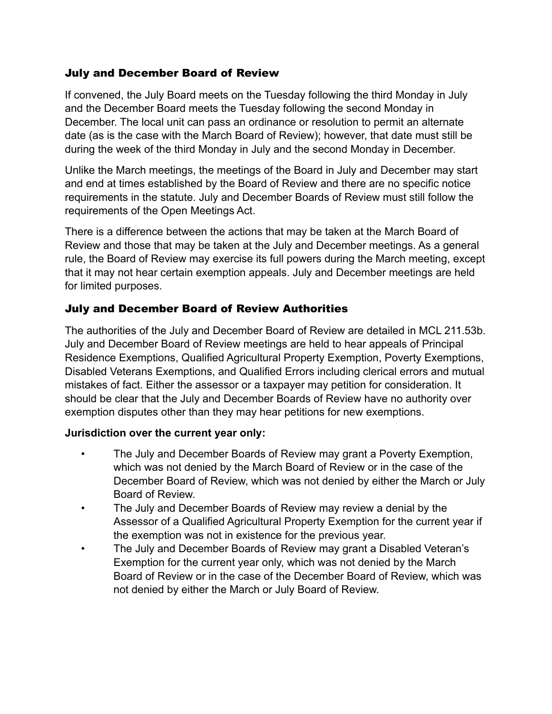#### July and December Board of Review

If convened, the July Board meets on the Tuesday following the third Monday in July and the December Board meets the Tuesday following the second Monday in December. The local unit can pass an ordinance or resolution to permit an alternate date (as is the case with the March Board of Review); however, that date must still be during the week of the third Monday in July and the second Monday in December.

Unlike the March meetings, the meetings of the Board in July and December may start and end at times established by the Board of Review and there are no specific notice requirements in the statute. July and December Boards of Review must still follow the requirements of the Open Meetings Act.

There is a difference between the actions that may be taken at the March Board of Review and those that may be taken at the July and December meetings. As a general rule, the Board of Review may exercise its full powers during the March meeting, except that it may not hear certain exemption appeals. July and December meetings are held for limited purposes.

# July and December Board of Review Authorities

The authorities of the July and December Board of Review are detailed in MCL 211.53b. July and December Board of Review meetings are held to hear appeals of Principal Residence Exemptions, Qualified Agricultural Property Exemption, Poverty Exemptions, Disabled Veterans Exemptions, and Qualified Errors including clerical errors and mutual mistakes of fact. Either the assessor or a taxpayer may petition for consideration. It should be clear that the July and December Boards of Review have no authority over exemption disputes other than they may hear petitions for new exemptions.

#### **Jurisdiction over the current year only:**

- The July and December Boards of Review may grant a Poverty Exemption, which was not denied by the March Board of Review or in the case of the December Board of Review, which was not denied by either the March or July Board of Review.
- The July and December Boards of Review may review a denial by the Assessor of a Qualified Agricultural Property Exemption for the current year if the exemption was not in existence for the previous year.
- The July and December Boards of Review may grant a Disabled Veteran's Exemption for the current year only, which was not denied by the March Board of Review or in the case of the December Board of Review, which was not denied by either the March or July Board of Review.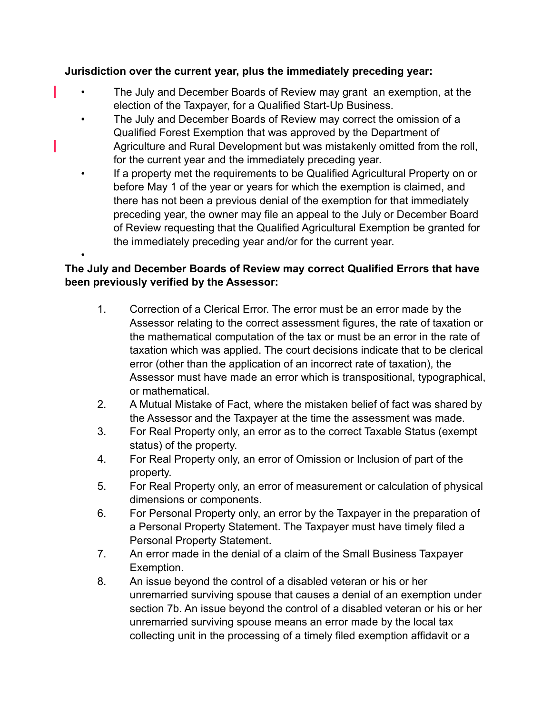## **Jurisdiction over the current year, plus the immediately preceding year:**

- The July and December Boards of Review may grant an exemption, at the election of the Taxpayer, for a Qualified Start-Up Business.
	- The July and December Boards of Review may correct the omission of a Qualified Forest Exemption that was approved by the Department of Agriculture and Rural Development but was mistakenly omitted from the roll, for the current year and the immediately preceding year.
	- If a property met the requirements to be Qualified Agricultural Property on or before May 1 of the year or years for which the exemption is claimed, and there has not been a previous denial of the exemption for that immediately preceding year, the owner may file an appeal to the July or December Board of Review requesting that the Qualified Agricultural Exemption be granted for the immediately preceding year and/or for the current year.

# **The July and December Boards of Review may correct Qualified Errors that have been previously verified by the Assessor:**

•

- 1. Correction of a Clerical Error. The error must be an error made by the Assessor relating to the correct assessment figures, the rate of taxation or the mathematical computation of the tax or must be an error in the rate of taxation which was applied. The court decisions indicate that to be clerical error (other than the application of an incorrect rate of taxation), the Assessor must have made an error which is transpositional, typographical, or mathematical.
- 2. A Mutual Mistake of Fact, where the mistaken belief of fact was shared by the Assessor and the Taxpayer at the time the assessment was made.
- 3. For Real Property only, an error as to the correct Taxable Status (exempt status) of the property.
- 4. For Real Property only, an error of Omission or Inclusion of part of the property.
- 5. For Real Property only, an error of measurement or calculation of physical dimensions or components.
- 6. For Personal Property only, an error by the Taxpayer in the preparation of a Personal Property Statement. The Taxpayer must have timely filed a Personal Property Statement.
- 7. An error made in the denial of a claim of the Small Business Taxpayer Exemption.
- 8. An issue beyond the control of a disabled veteran or his or her unremarried surviving spouse that causes a denial of an exemption under section 7b. An issue beyond the control of a disabled veteran or his or her unremarried surviving spouse means an error made by the local tax collecting unit in the processing of a timely filed exemption affidavit or a